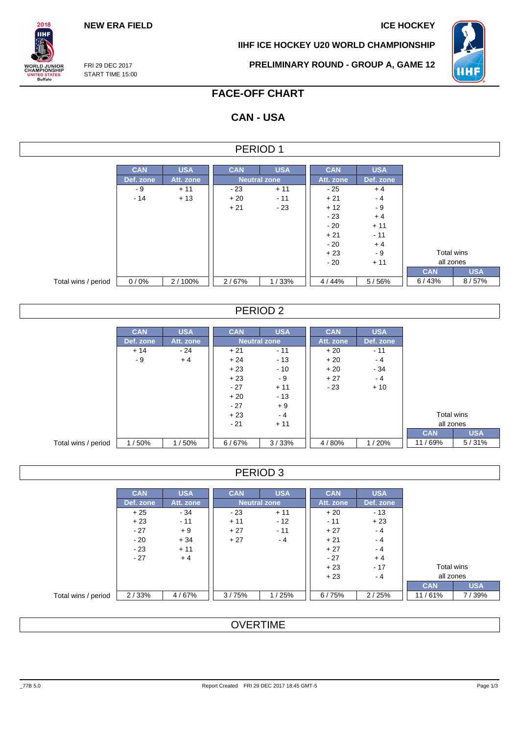### **NEW ERA FIELD ICE HOCKEY**

**IIHF ICE HOCKEY U20 WORLD CHAMPIONSHIP**



FRI 29 DEC 2017 START TIME 15:00

 $2018$ IІHI

**ORLD JUNIOR**<br>HAMPIONSHIP

**NITED STATES**<br>Buffalo

### **PRELIMINARY ROUND - GROUP A, GAME 12**

# **FACE-OFF CHART**

# **CAN - USA**

| PERIOD 1            |            |            |            |                     |            |            |            |            |  |  |  |  |  |
|---------------------|------------|------------|------------|---------------------|------------|------------|------------|------------|--|--|--|--|--|
|                     |            |            |            |                     |            |            |            |            |  |  |  |  |  |
|                     | <b>CAN</b> | <b>USA</b> | <b>CAN</b> | <b>USA</b>          | <b>CAN</b> | <b>USA</b> |            |            |  |  |  |  |  |
|                     | Def. zone  | Att. zone  |            | <b>Neutral zone</b> | Att. zone  | Def. zone  |            |            |  |  |  |  |  |
|                     | - 9        | $+11$      | $-23$      | $+11$               | - 25       | $+4$       |            |            |  |  |  |  |  |
|                     | $-14$      | $+13$      | $+20$      | $-11$               | $+21$      | $-4$       |            |            |  |  |  |  |  |
|                     |            |            | $+21$      | $-23$               | $+12$      | $-9$       |            |            |  |  |  |  |  |
|                     |            |            |            |                     | $-23$      | $+4$       |            |            |  |  |  |  |  |
|                     |            |            |            |                     | $-20$      | $+11$      |            |            |  |  |  |  |  |
|                     |            |            |            |                     | $+21$      | $-11$      |            |            |  |  |  |  |  |
|                     |            |            |            |                     | $-20$      | $+4$       |            |            |  |  |  |  |  |
|                     |            |            |            |                     | $+23$      | - 9        | Total wins |            |  |  |  |  |  |
|                     |            |            |            |                     | $-20$      | $+11$      | all zones  |            |  |  |  |  |  |
|                     |            |            |            |                     |            |            | <b>CAN</b> | <b>USA</b> |  |  |  |  |  |
| Total wins / period | 0/0%       | 2/100%     | 2/67%      | 1/33%               | 4/44%      | 5/56%      | 6/43%      | 8/57%      |  |  |  |  |  |
|                     |            |            |            |                     |            |            |            |            |  |  |  |  |  |

### PERIOD 2

|                     | <b>CAN</b> | <b>USA</b> | <b>CAN</b> | <b>USA</b>          | <b>CAN</b> | <b>USA</b> |            |            |
|---------------------|------------|------------|------------|---------------------|------------|------------|------------|------------|
|                     | Def. zone  | Att. zone  |            | <b>Neutral zone</b> | Att. zone  | Def. zone  |            |            |
|                     | $+14$      | $-24$      | $+21$      | $-11$               | $+20$      | $-11$      |            |            |
|                     | - 9        | $+4$       | $+24$      | $-13$               | $+20$      | $-4$       |            |            |
|                     |            |            | $+23$      | $-10$               | $+20$      | $-34$      |            |            |
|                     |            |            | $+23$      | $-9$                | $+27$      | $-4$       |            |            |
|                     |            |            | $-27$      | $+11$               | $-23$      | $+10$      |            |            |
|                     |            |            | $+20$      | $-13$               |            |            |            |            |
|                     |            |            | $-27$      | $+9$                |            |            |            |            |
|                     |            |            | $+23$      | $-4$                |            |            |            | Total wins |
|                     |            |            | $-21$      | $+11$               |            |            | all zones  |            |
|                     |            |            |            |                     |            |            | <b>CAN</b> | <b>USA</b> |
| Total wins / period | 1/50%      | 1/50%      | 6/67%      | 3/33%               | 4/80%      | 1/20%      | 11/69%     | 5/31%      |

### PERIOD 3

|                     | <b>CAN</b> | <b>USA</b> | <b>CAN</b> | <b>USA</b>          | <b>CAN</b> | <b>USA</b> |
|---------------------|------------|------------|------------|---------------------|------------|------------|
|                     | Def. zone  | Att. zone  |            | <b>Neutral zone</b> |            | Def. zone  |
|                     | $+25$      | - 34       | $-23$      | $+11$               | $+20$      | $-13$      |
|                     | $+23$      | $-11$      | $+11$      | $-12$               | $-11$      | $+23$      |
|                     | $-27$      | $+9$       | $+27$      | $-11$               | $+27$      | $-4$       |
|                     | $-20$      | $+34$      | $+27$      | $-4$                | $+21$      | $-4$       |
|                     | $-23$      | $+11$      |            |                     | $+27$      | $-4$       |
|                     | $-27$      | $+4$       |            |                     | $-27$      | $+4$       |
|                     |            |            |            |                     | $+23$      | $-17$      |
|                     |            |            |            |                     | $+23$      | $-4$       |
|                     |            |            |            |                     |            |            |
| Total wins / period | 2/33%      | 4/67%      | 3/75%      | 1/25%               | 6/75%      | 2/25%      |

### **OVERTIME**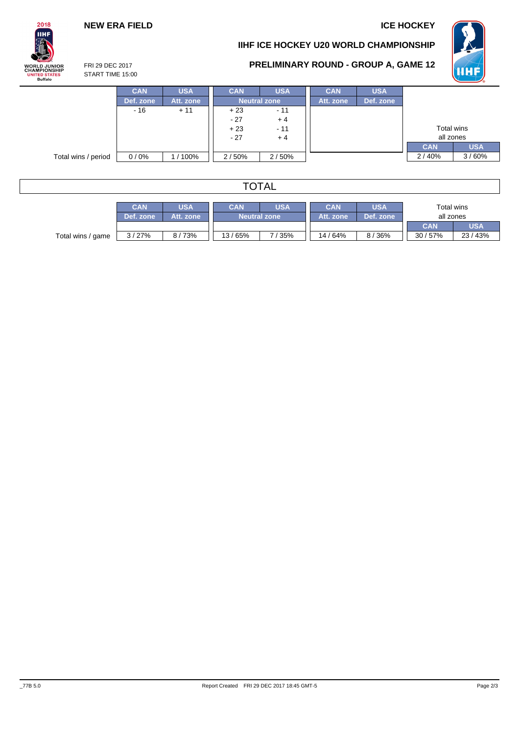### **NEW ERA FIELD ICE HOCKEY**

# $2018$ **IIHF WORLD JUNIOR<br>CHAMPIONSHIP<br>UNITED STATES<br>Buffalo**

### **IIHF ICE HOCKEY U20 WORLD CHAMPIONSHIP**



### **PRELIMINARY ROUND - GROUP A, GAME 12**

FRI 29 DEC 2017 START TIME 15:00

|                     | <b>CAN</b> | <b>USA</b> | <b>CAN</b>     | <b>USA</b>          | <b>CAN</b> | <b>USA</b> |            |            |
|---------------------|------------|------------|----------------|---------------------|------------|------------|------------|------------|
|                     | Def. zone  | Att. zone  |                | <b>Neutral zone</b> |            | Def. zone  |            |            |
|                     | $-16$      | $+11$      | $+23$          | $-11$               |            |            |            |            |
|                     |            |            | $-27$          | $+4$                |            |            |            |            |
|                     |            |            | $+23$<br>$-11$ |                     |            |            | Total wins |            |
|                     |            |            | $-27$          | $+4$                |            |            | all zones  |            |
|                     |            |            |                |                     |            |            | <b>CAN</b> | <b>USA</b> |
| Total wins / period | $0/0\%$    | / 100%     | 2/50%          | 2/50%               |            |            | 2/40%      | 3/60%      |

| <b>TOTAL</b>      |            |            |            |                     |           |           |            |            |  |  |  |  |
|-------------------|------------|------------|------------|---------------------|-----------|-----------|------------|------------|--|--|--|--|
|                   | <b>CAN</b> | <b>USA</b> | <b>USA</b> | Total wins          |           |           |            |            |  |  |  |  |
|                   | Def. zone  | Att. zone  |            | <b>Neutral zone</b> | Att. zone | Def. zone | all zones  |            |  |  |  |  |
|                   |            |            |            |                     |           |           | <b>CAN</b> | <b>USA</b> |  |  |  |  |
| Total wins / game | 3/27%      | 8/73%      | 13/65%     | 7/35%               | 14 / 64%  | 8/36%     | 30/57%     | 23 / 43%   |  |  |  |  |